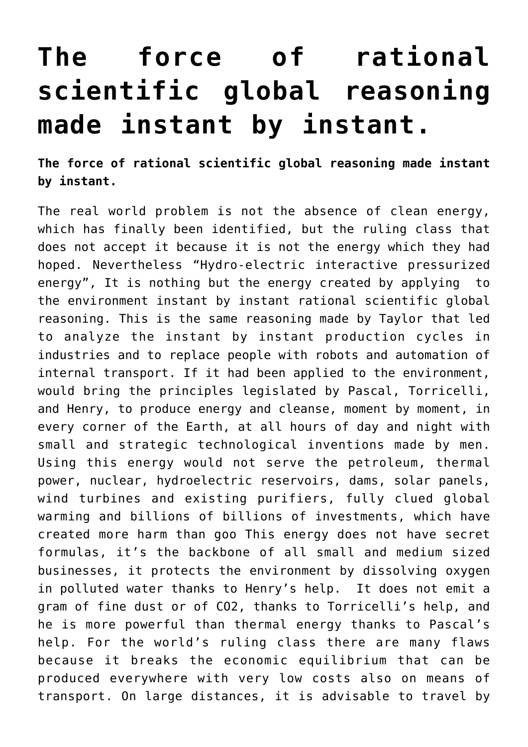## **[The force of rational](https://www.spawhe.eu/the-force-of-rational-scientific-global-reasoning-made-instant-by-instant/) [scientific global reasoning](https://www.spawhe.eu/the-force-of-rational-scientific-global-reasoning-made-instant-by-instant/) [made instant by instant.](https://www.spawhe.eu/the-force-of-rational-scientific-global-reasoning-made-instant-by-instant/)**

**The force of rational scientific global reasoning made instant by instant.**

The real world problem is not the absence of clean energy, which has finally been identified, but the ruling class that does not accept it because it is not the energy which they had hoped. Nevertheless "Hydro-electric interactive pressurized energy", It is nothing but the energy created by applying to the environment instant by instant rational scientific global reasoning. This is the same reasoning made by Taylor that led to analyze the instant by instant production cycles in industries and to replace people with robots and automation of internal transport. If it had been applied to the environment, would bring the principles legislated by Pascal, Torricelli, and Henry, to produce energy and cleanse, moment by moment, in every corner of the Earth, at all hours of day and night with small and strategic technological inventions made by men. Using this energy would not serve the petroleum, thermal power, nuclear, hydroelectric reservoirs, dams, solar panels, wind turbines and existing purifiers, fully clued global warming and billions of billions of investments, which have created more harm than goo This energy does not have secret formulas, it's the backbone of all small and medium sized businesses, it protects the environment by dissolving oxygen in polluted water thanks to Henry's help. It does not emit a gram of fine dust or of CO2, thanks to Torricelli's help, and he is more powerful than thermal energy thanks to Pascal's help. For the world's ruling class there are many flaws because it breaks the economic equilibrium that can be produced everywhere with very low costs also on means of transport. On large distances, it is advisable to travel by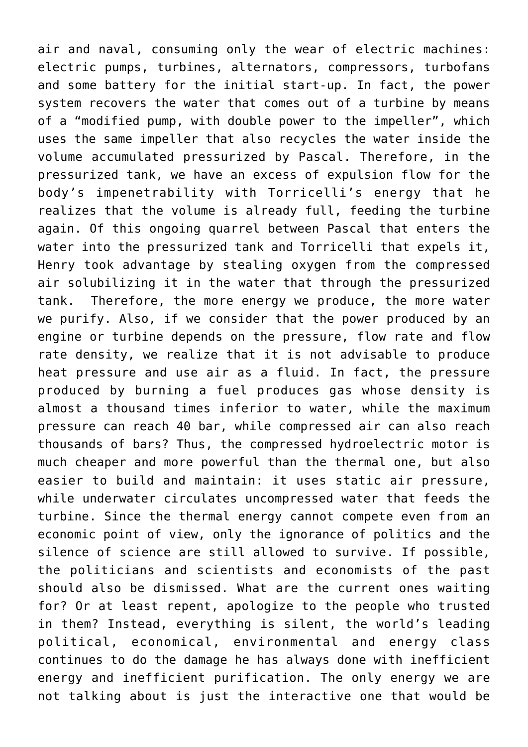air and naval, consuming only the wear of electric machines: electric pumps, turbines, alternators, compressors, turbofans and some battery for the initial start-up. In fact, the power system recovers the water that comes out of a turbine by means of a "modified pump, with double power to the impeller", which uses the same impeller that also recycles the water inside the volume accumulated pressurized by Pascal. Therefore, in the pressurized tank, we have an excess of expulsion flow for the body's impenetrability with Torricelli's energy that he realizes that the volume is already full, feeding the turbine again. Of this ongoing quarrel between Pascal that enters the water into the pressurized tank and Torricelli that expels it, Henry took advantage by stealing oxygen from the compressed air solubilizing it in the water that through the pressurized tank. Therefore, the more energy we produce, the more water we purify. Also, if we consider that the power produced by an engine or turbine depends on the pressure, flow rate and flow rate density, we realize that it is not advisable to produce heat pressure and use air as a fluid. In fact, the pressure produced by burning a fuel produces gas whose density is almost a thousand times inferior to water, while the maximum pressure can reach 40 bar, while compressed air can also reach thousands of bars? Thus, the compressed hydroelectric motor is much cheaper and more powerful than the thermal one, but also easier to build and maintain: it uses static air pressure, while underwater circulates uncompressed water that feeds the turbine. Since the thermal energy cannot compete even from an economic point of view, only the ignorance of politics and the silence of science are still allowed to survive. If possible, the politicians and scientists and economists of the past should also be dismissed. What are the current ones waiting for? Or at least repent, apologize to the people who trusted in them? Instead, everything is silent, the world's leading political, economical, environmental and energy class continues to do the damage he has always done with inefficient energy and inefficient purification. The only energy we are not talking about is just the interactive one that would be